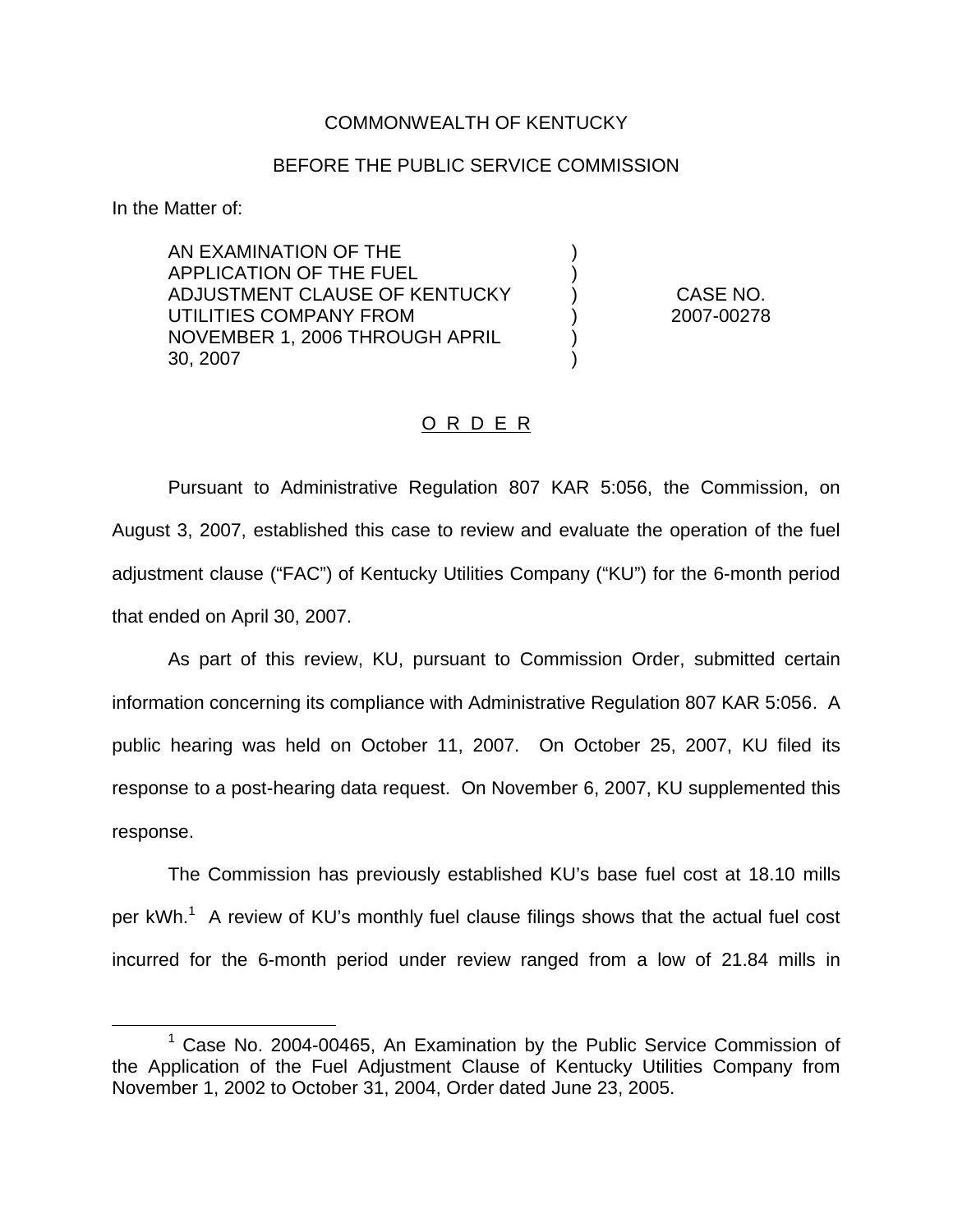## COMMONWEALTH OF KENTUCKY

## BEFORE THE PUBLIC SERVICE COMMISSION

) )

) )

In the Matter of:

AN EXAMINATION OF THE APPLICATION OF THE FUEL ADJUSTMENT CLAUSE OF KENTUCKY UTILITIES COMPANY FROM NOVEMBER 1, 2006 THROUGH APRIL 30, 2007

) CASE NO. ) 2007-00278

## O R D E R

Pursuant to Administrative Regulation 807 KAR 5:056, the Commission, on August 3, 2007, established this case to review and evaluate the operation of the fuel adjustment clause ("FAC") of Kentucky Utilities Company ("KU") for the 6-month period that ended on April 30, 2007.

As part of this review, KU, pursuant to Commission Order, submitted certain information concerning its compliance with Administrative Regulation 807 KAR 5:056. A public hearing was held on October 11, 2007. On October 25, 2007, KU filed its response to a post-hearing data request. On November 6, 2007, KU supplemented this response.

The Commission has previously established KU's base fuel cost at 18.10 mills per  $kWh$ <sup>1</sup>. A review of KU's monthly fuel clause filings shows that the actual fuel cost incurred for the 6-month period under review ranged from a low of 21.84 mills in

 $1$  Case No. 2004-00465, An Examination by the Public Service Commission of the Application of the Fuel Adjustment Clause of Kentucky Utilities Company from November 1, 2002 to October 31, 2004, Order dated June 23, 2005.